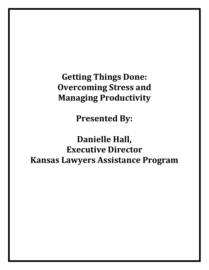**Getting Things Done: Overcoming Stress and Managing Productivity**

**Presented By:**

**Danielle Hall, Executive Director Kansas Lawyers Assistance Program**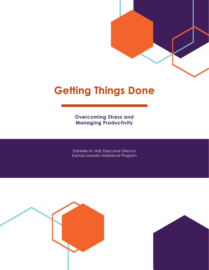# **Getting Things Done**

**Overcoming Stress and Managing Productivity**

Danielle M. Hall, Executive Director Kansas Lawyers Assistance Program



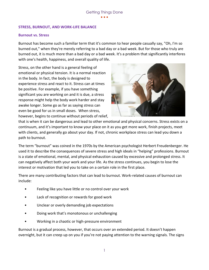#### **STRESS, BURNOUT, AND WORK-LIFE BALANCE**

#### **Burnout vs. Stress**

Burnout has become such a familiar term that it's common to hear people casually say, "Oh, I'm so burned out," when they're merely referring to a bad day or a bad week. But for those who truly are burned out, it is much more than a bad day or a bad week. It's a problem that significantly interferes with one's health, happiness, and overall quality of life.

Stress, on the other hand is a general feeling of emotional or physical tension. It is a normal reaction in the body. In fact, the body is designed to experience stress and react to it. Stress can at times be positive. For example, if you have something significant you are working on and it is due, a stress response might help the body work harder and stay awake longer. Some go as far as saying stress can even be good for us in small doses. When stress, however, begins to continue without periods of relief,



that is when it can be dangerous and lead to other emotional and physical concerns. Stress exists on a continuum, and it's important to know your place on it as you get more work, finish projects, meet with clients, and generally go about your day. If not, chronic workplace stress can lead you down a path to burnout.

The term "burnout" was coined in the 1970s by the American psychologist Herbert Freudenberger. He used it to describe the consequences of severe stress and high ideals in "helping" professions. Burnout is a state of emotional, mental, and physical exhaustion caused by excessive and prolonged stress. It can negatively affect both your work and your life. As the stress continues, you begin to lose the interest or motivation that led you to take on a certain role in the first place.

There are many contributing factors that can lead to burnout. Work-related causes of burnout can include:

- Feeling like you have little or no control over your work
- Lack of recognition or rewards for good work
- Unclear or overly demanding job expectations
- Doing work that's monotonous or unchallenging
- Working in a chaotic or high-pressure environment

Burnout is a gradual process, however, that occurs over an extended period. It doesn't happen overnight, but it can creep up on you if you're not paying attention to the warning signals. The signs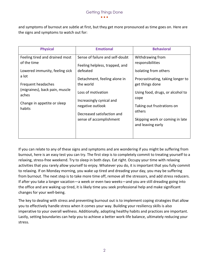and symptoms of burnout are subtle at first, but they get more pronounced as time goes on. Here are the signs and symptoms to watch out for:

| <b>Physical</b>                                                                                                                                                                                    | <b>Emotional</b>                                                                                                                                                                                                                                          | <b>Behavioral</b>                                                                                                                                                                                                                                                 |
|----------------------------------------------------------------------------------------------------------------------------------------------------------------------------------------------------|-----------------------------------------------------------------------------------------------------------------------------------------------------------------------------------------------------------------------------------------------------------|-------------------------------------------------------------------------------------------------------------------------------------------------------------------------------------------------------------------------------------------------------------------|
| Feeling tired and drained most<br>of the time<br>Lowered immunity, feeling sick<br>a lot<br>Frequent headaches<br>(migraines), back pain, muscle<br>aches<br>Change in appetite or sleep<br>habits | Sense of failure and self-doubt<br>Feeling helpless, trapped, and<br>defeated<br>Detachment, feeling alone in<br>the world<br>Loss of motivation<br>Increasingly cynical and<br>negative outlook<br>Decreased satisfaction and<br>sense of accomplishment | Withdrawing from<br>responsibilities<br>Isolating from others<br>Procrastinating, taking longer to<br>get things done<br>Using food, drugs, or alcohol to<br>cope<br>Taking out frustrations on<br>others<br>Skipping work or coming in late<br>and leaving early |

If you can relate to any of these signs and symptoms and are wondering if you might be suffering from burnout, here is an easy test you can try. The first step is to completely commit to treating yourself to a relaxing, stress-free weekend. Try to sleep in both days. Eat right. Occupy your time with relaxing activities that you rarely allow yourself to enjoy. Whatever you do, it is important that you fully commit to relaxing. If on Monday morning, you wake up tired and dreading your day, you may be suffering from burnout. The next step is to take more time off, remove all the stressors, and add stress reducers. If after you take a longer vacation—a week or even two weeks—and you are still dreading going into the office and are waking up tired, it is likely time you seek professional help and make significant changes for your well-being.

The key to dealing with stress and preventing burnout out is to implement coping strategies that allow you to effectively handle stress when it comes your way. Building your resiliency skills is also imperative to your overall wellness. Additionally, adopting healthy habits and practices are important. Lastly, setting boundaries can help you to achieve a better work-life balance, ultimately reducing your stress.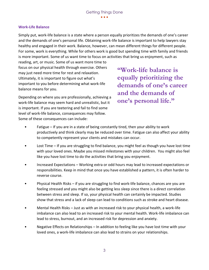## **Work-Life Balance**

Simply put, work-life balance is a state where a person equally prioritizes the demands of one's career and the demands of one's personal life. Obtaining work-life balance is important to help lawyers stay healthy and engaged in their work. Balance, however, can mean different things for different people. For some, work is everything. While for others work is good but spending time with family and friends is more important. Some of us want time to focus on activities that bring us enjoyment, such as

reading, art, or music. Some of us want more time to focus on our physical health through exercise. Others may just need more time for rest and relaxation. Ultimately, it is important to figure out what's important to you before determining what work-life balance means for you.

**"Work-life balance is equally prioritizing the demands of one's career and the demands of one's personal life."**

Depending on where you are professionally, achieving a work-life balance may seem hard and unrealistic, but it is important. If you are teetering and fail to find some level of work-life balance, consequences may follow. Some of these consequences can include:

- Fatigue If you are in a state of being constantly tired, then your ability to work productively and think clearly may be reduced over time. Fatigue can also affect your ability to competently represent your clients and mistakes can occur.
- Lost Time If you are struggling to find balance, you might feel as though you have lost time with your loved ones. Maybe you missed milestones with your children. You might also feel like you have lost time to do the activities that bring you enjoyment.
- Increased Expectations Working extra or odd hours may lead to increased expectations or responsibilities. Keep in mind that once you have established a pattern, it is often harder to reverse course.
- Physical Health Risks if you are struggling to find work-life balance, chances are you are feeling stressed and you might also be getting less sleep since there is a direct correlation between stress and sleep. If so, your physical health can certainly be impacted. Studies show that stress and a lack of sleep can lead to conditions such as stroke and heart disease.
- Mental Health Risks Just as with an increased risk to your physical health, a work-life imbalance can also lead to an increased risk to your mental health. Work-life imbalance can lead to stress, burnout, and an increased risk for depression and anxiety.
- Negative Effects on Relationships In addition to feeling like you have lost time with your loved ones, a work-life imbalance can also lead to strains on your relationships.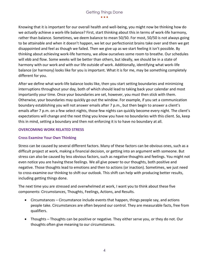Knowing that it is important for our overall health and well-being, you might now be thinking how do we *actually* achieve a work-life balance? First, start thinking about this in terms of work-life harmony, rather than balance. Sometimes, we deem balance to mean 50/50. For most, 50/50 is not always going to be attainable and when it doesn't happen, we let our perfectionist brains take over and then we get disappointed and feel as though we failed. Then we give up as we start feeling it isn't possible. By thinking about achieving work-life harmony, we allow ourselves some room to breathe. Our schedules will ebb and flow. Some weeks will be better than others, but ideally, we should be in a state of harmony with our work and with our life outside of work. Additionally, identifying what work-life balance (or harmony) looks like for you is important. What it is for me, may be something completely different for you.

After we define what work-life balance looks like, then you start setting boundaries and minimizing interruptions throughout your day, both of which should lead to taking back your calendar and most importantly your time. Once your boundaries are set, however, you must then stick with them. Otherwise, your boundaries may quickly go out the window. For example, if you set a communication boundary establishing you will not answer emails after 7 p.m., but then begin to answer a client's emails after 7 p.m. on a few select nights, those few nights can quickly become every night. The client's expectations will change and the next thing you know you have no boundaries with this client. So, keep this in mind, setting a boundary and then not enforcing it is to have no boundary at all.

## **OVERCOMING WORK RELATED STRESS**

## **Cross Examine Your Own Thinking**

Stress can be caused by several different factors. Many of these factors can be obvious ones, such as a difficult project at work, making a financial decision, or getting into an argument with someone. But stress can also be caused by less obvious factors, such as negative thoughts and feelings. You might not even notice you are having these feelings. We all give power to our thoughts, both positive and negative. Those thoughts lead to emotions and then to actions (or inaction). Sometimes, we just need to cross-examine our thinking to shift our outlook. This shift can help with producing better results, including getting things done.

The next time you are stressed and overwhelmed at work, I want you to think about these five components: Circumstances, Thoughts, Feelings, Actions, and Results.

- Circumstances Circumstance include events that happen, things people say, and actions people take. Circumstances are often beyond our control. They are measurable facts, free from qualifiers.
- Thoughts Thoughts can be positive or negative. They either serve you, or they do not. Our thoughts often give meaning to our circumstances.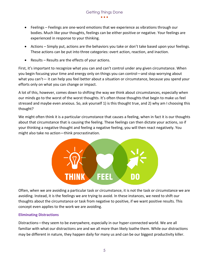- Feelings Feelings are one-word emotions that we experience as vibrations through our bodies. Much like your thoughts, feelings can be either positive or negative. Your feelings are experienced in response to your thinking.
- Actions Simply put, actions are the behaviors you take or don't take based upon your feelings. These actions can be put into three categories: overt action, reaction, and inaction.
- Results Results are the effects of your actions.

First, it's important to recognize what you can and can't control under any given circumstance. When you begin focusing your time and energy only on things you can control—and stop worrying about what you can't— it can help you feel better about a situation or circumstance, because you spend your efforts only on what you can change or impact.

A lot of this, however, comes down to shifting the way we think about circumstances, especially when our minds go to the worst of the worst thoughts. It's often those thoughts that begin to make us feel stressed and maybe even anxious. So, ask yourself 1) is this thought true, and 2) why am I choosing this thought?

We might often think it is a particular circumstance that causes a feeling, when in fact it is our thoughts about that circumstance that is causing the feeling. These feelings can then dictate your actions, so if your thinking a negative thought and feeling a negative feeling, you will then react negatively. You might also take no action—think procrastination.



Often, when we are avoiding a particular task or circumstance, it is not the task or circumstance we are avoiding. Instead, it is the feelings we are trying to avoid. In these instances, we need to shift our thoughts about the circumstance or task from negative to positive, if we want positive results. This concept even applies to the work we are avoiding.

## **Eliminating Distractions**

Distractions—they seem to be everywhere, especially in our hyper-connected world. We are all familiar with what our distractions are and we all more than likely loathe them. While our distractions may be different in nature, they happen daily for many us and can be our biggest productivity killer.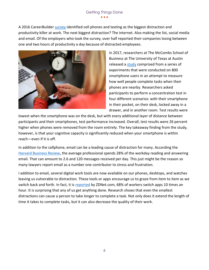A 2016 CareerBuilder [survey](https://www.careerbuilder.com/advice/are-smartphones-killing-productivity-in-the-workplace) identified cell phones and texting as the biggest distraction and productivity killer at work. The next biggest distraction? The internet. Also making the list, social media and email. Of the employers who took the survey, over half reported their companies losing between one and two hours of productivity a day because of distracted employees.



In 2017, researchers at The McCombs School of Business at The University of Texas at Austin released a [study](https://neurosciencenews.com/smartphone-brain-power-6972/) comprised from a series of experiments that were conducted on 800 smartphone users in an attempt to measure how well people complete tasks when their phones are nearby. Researchers asked participants to perform a concentration test in four different scenarios: with their smartphone in their pocket, on their desk, locked away in a drawer, and in another room. Test results were

lowest when the smartphone was on the desk, but with every additional layer of distance between participants and their smartphones, test performance increased. Overall, test results were 26 percent higher when phones were removed from the room entirely. The key takeaway finding from the study, however, is that your cognitive capacity is significantly reduced when your smartphone is within reach—even if it is off.

In addition to the cellphone, email can be a leading cause of distraction for many. According the [Harvard Business Review,](https://hbr.org/2019/01/how-to-spend-way-less-time-on-email-every-day#:~:text=The%20average%20professional%20spends%2028,120%20messages%20received%20per%20day.) the average professional spends 28% of the workday reading and answering email. That can amount to 2.6 and 120 messages received per day. This just might be the reason so many lawyers report email as a number one contributor to stress and frustration.

I addition to email, several digital work tools are now available on our phones, desktops, and watches leaving us vulnerable to distraction. These tools or apps encourage us to graze from item to item as we switch back and forth. In fact, it is [reported](https://www.zdnet.com/article/survey-confirms-collaboration-and-the-apps-that-come-with-it-still-suck/) by ZDNet.com, 68% of workers switch apps 10 times an hour. It is surprising that any of us get anything done. Research shows that even the smallest distractions can cause a person to take longer to complete a task. Not only does it extend the length of time it takes to complete tasks, but it can also decrease the quality of their work.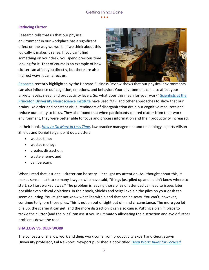#### **Reducing Clutter**

Research tells that us that our physical environment in our workplace has a significant effect on the way we work. If we think about this logically it makes it sense. If you can't find something on your desk, you spend precious time looking for it. That of course is an example of how clutter can affect you directly, but there are also indirect ways it can affect us.



[Research](https://www.sciencedirect.com/science/article/abs/pii/S0360132318307157) recently highlighted by the Harvard Business Review shows that our physical environments can also influence our cognition, emotions, and behavior. Your environment can also affect your anxiety levels, sleep, and productivity levels. So, what does this mean for your work? [Scientists at the](https://www.jneurosci.org/content/31/2/587)  [Princeton University Neuroscience Institute](https://www.jneurosci.org/content/31/2/587) have used fMRI and other approaches to show that our brains like order and constant visual reminders of disorganization drain our cognitive resources and reduce our ability to focus. They also found that when participants cleared clutter from their work environment, they were better able to focus and process information and their productivity increased.

In their book, *[How to Do More in Less Time](https://www.amazon.com/How-More-Less-Time-Productivity/dp/1627228888)*, law practice management and technology experts Allison Shields and Daniel Seigel point out, clutter:

- wastes time;
- wastes money;
- creates distraction;
- waste energy; and
- can be scary.

When I read that last one—clutter can be scary—it caught my attention. As I thought about this, it makes sense. I talk to so many lawyers who have said, "things just piled up and I didn't know where to start, so I just walked away." The problem is leaving those piles unattended can lead to issues later, possibly even ethical violations. In their book, Shields and Seigel explain the piles on your desk can seem daunting. You might not know what lies within and that can be scary. You can't, however, continue to ignore those piles. This is not an out of sight out of mind circumstance. The more you let pile up, the scarier it can get, and the more distraction it can also cause. Putting a plan in place to tackle the clutter (and the piles) can assist you in ultimately alleviating the distraction and avoid further problems down the road.

#### **SHALLOW VS. DEEP WORK**

The concepts of shallow work and deep work come from productivity expert and Georgetown University professor, Cal Newport. Newport published a book titled *[Deep Work: Rules for Focused](https://www.amazon.com/dp/B013UWFM52/ref=dp-kindle-redirect?_encoding=UTF8&btkr=1)*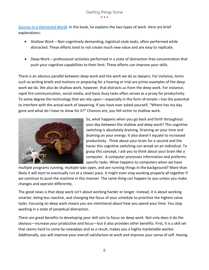*[Success in a Distracted World](https://www.amazon.com/dp/B013UWFM52/ref=dp-kindle-redirect?_encoding=UTF8&btkr=1)*. In the book, he explains the two types of work. Here are brief explanations:

- Shallow Work Non-cognitively demanding, logistical-style tasks, often performed while distracted. These efforts tend to not create much new value and are easy to replicate.
- Deep Work professional activities performed in a state of distraction-free concentration that push your cognitive capabilities to their limit. These efforts can improve your skills.

There is an obvious parallel between deep work and the work we do as lawyers. For instance, items such as writing briefs and motions or preparing for a hearing or trial are prime examples of the deep work we do. We also do shallow work, however, that distracts us from the deep work. For instance, rapid fire communication, social media, and basic busy tasks often serves as a proxy for productivity. To some degree the technology that we rely upon—especially in the form of emails—has the potential to interfere with the actual work of lawyering. If you have ever asked yourself, "Where has my day gone and what do I have to show for it?" Chances are, you fell victim to shallow work.



So, what happens when you go back and forth throughout your day between the shallow and deep work? This cognitive switching is absolutely draining. Draining on your time and draining on your energy. It also doesn't equate to increased productivity. Think about your brain for a second and the havoc this cognitive switching can wreak on an individual. To grasp this concept, I ask you to think about your brain like a computer. A computer processes information and preforms specific tasks. What happens to computers when we have

multiple programs running, multiple tabs open, and are running things in the background? More than likely it will start to eventually run at a slower pace. It might even stop working properly all together if we continue to push the machine in this manner. The same thing can happen to you unless you make changes and operate differently.

The good news is that deep work isn't about working harder or longer. Instead, it is about working smarter, being less reactive, and changing the focus of your schedule to prioritize the highest value tasks. Focusing on deep work means you are intentional about how you spend your time. You stop working in a state of perpetual distraction.

There are great benefits to developing your skill sets to focus on deep work. Not only does it do the obvious—increase your productive and focus—but it also provides other benefits. First, it is a skill set that seems hard to come by nowadays and as a result, makes you a highly marketable worker. Additionally, you will improve your overall satisfaction at work and improve your sense of self. Having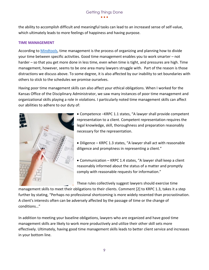the ability to accomplish difficult and meaningful tasks can lead to an increased sense of self-value, which ultimately leads to more feelings of happiness and having purpose.

## **TIME MANAGEMENT**

According to [Mindtools,](https://www.mindtools.com/pages/article/newHTE_00.htm#:~:text=Time%20Management%20Definition,tight%20and%20pressures%20are%20high.) time management is the process of organizing and planning how to divide your time between specific activities. Good time management enables you to work smarter – not harder – so that you get more done in less time, even when time is tight, and pressures are high. Time management, however, seems to be one area many lawyers struggle with. Part of the reason is those distractions we discuss above. To some degree, it is also affected by our inability to set boundaries with others to stick to the schedules we promise ourselves.

Having poor time management skills can also affect your ethical obligations. When I worked for the Kansas Office of the Disciplinary Administrator, we saw many instances of poor time management and organizational skills playing a role in violations. I particularly noted time management skills can affect our abilities to adhere to our duty of:



• Competence –KRPC 1.1 states, "A lawyer shall provide competent representation to a client. Competent representation requires the legal knowledge, skill, thoroughness and preparation reasonably necessary for the representation.

• Diligence – KRPC 1.3 states, "A lawyer shall act with reasonable diligence and promptness in representing a client."

• Communication – KRPC 1.4 states, "A lawyer shall keep a client reasonably informed about the status of a matter and promptly comply with reasonable requests for information."

These rules collectively suggest lawyers should exercise time

management skills to meet their obligations to their clients. Comment [2] to KRPC 1.3, takes it a step further by stating, "Perhaps no professional shortcoming is more widely resented than procrastination. A client's interests often can be adversely affected by the passage of time or the change of conditions…"

In addition to meeting your baseline obligations, lawyers who are organized and have good time management skills are likely to work more productively and utilize their other skill sets more effectively. Ultimately, having good time management skills leads to better client service and increases in your bottom line.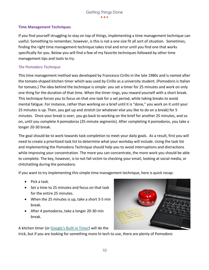#### **Time Management Techniques**

If you find yourself struggling to stay on top of things, implementing a time management technique can useful. Something to remember, however, is this is not a one size fit all sort of situation. Sometimes, finding the right time management technique takes trial and error until you find one that works specifically for you. Below you will find a few of my favorite techniques followed by other time management tips and tools to try.

#### *The Pomodoro Technique*

This time management method was developed by Francesco Cirillo in the late 1980s and is named after the tomato-shaped kitchen timer which was used by Cirillo as a university student. (Pomodoro is Italian for tomato.) The idea behind the technique is simple: you set a timer for 25 minutes and work on only one thing for the duration of that time. When the timer rings, you reward yourself with a short break. This technique forces you to focus on that one task for a set period, while taking breaks to avoid mental fatigue. For instance, rather than working on a brief until it is "done," you work on it until your 25 minutes is up. Then, you get up and stretch (or whatever else you like to do on a break) for 5 minutes. Once your break is over, you go back to working on the brief for another 25 minutes, and so on, until you complete 4 pomodoros (25-minute segments). After completing 4 pomodoros, you take a longer 20-30 break.

The goal should be to work towards task completion to meet your daily goals. As a result, first you will need to create a prioritized task list to determine what your workday will include. Using the task list and implementing the Pomodoro Technique should help you to avoid interruptions and distractions while improving your concentration. The more you can concentrate, the more work you should be able to complete. The key, however, is to not fall victim to checking your email, looking at social media, or chitchatting during the pomodoro.

If you want to try implementing this simple time management technique, here is quick recap:

- Pick a task.
- Set a time to 25 minutes and focus on that task for the entire 25 minutes.
- When the 25 minutes is up, take a short 3-5 min break.
- After 4 pomodoros, take a longer 20-30 min break.

A kitchen timer (or [Google's Built](https://www.ksbar.org/blogpost/1106646/367344/Quick-Tip-Googles-Built-In-Timer)-in Timer) will do the

trick, but if you are looking for something more hi-tech to use, there are plenty of Pomodoro

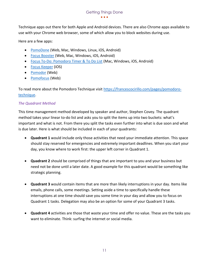Technique apps out there for both Apple and Android devices. There are also Chrome apps available to use with your Chrome web browser, some of which allow you to block websites during use.

Here are a few apps:

- [PomoDone](https://pomodoneapp.com/) (Web, Mac, Windows, Linux, iOS, Android)
- [Focus Booster](https://www.focusboosterapp.com/) (Web, Mac, Windows, iOS, Android)
- [Focus To-Do: Pomodoro Timer & To Do List](https://play.google.com/store/apps/details?id=com.superelement.pomodoro&hl=en) (Mac, Windows, iOS, Android)
- [Focus Keeper](https://apps.apple.com/us/app/focus-keeper/id867374917) (iOS)
- <u>[Pomodor](https://pomodor.app/timer)</u> (Web)
- <u>[Pomofocus](https://pomofocus.io/)</u> (Web)

To read more about the Pomodoro Technique visit [https://francescocirillo.com/pages/pomodoro](https://francescocirillo.com/pages/pomodoro-technique)[technique.](https://francescocirillo.com/pages/pomodoro-technique)

## *The Quadrant Method*

This time management method developed by speaker and author, Stephen Covey. The quadrant method takes your linear to-do list and asks you to split the items up into two buckets: what's important and what is not. From there you split the tasks even further into what is due soon and what is due later. Here is what should be included in each of your quadrants:

- **Quadrant 1** would include only those activities that need your immediate attention. This space should stay reserved for emergencies and extremely important deadlines. When you start your day, you know where to work first: the upper left corner in Quadrant 1.
- **Quadrant 2** should be comprised of things that are important to you and your business but need not be done until a later date. A good example for this quadrant would be something like strategic planning.
- **Quadrant 3** would contain items that are more than likely interruptions in your day. Items like emails, phone calls, some meetings. Setting aside a time to specifically handle these interruptions at one time should save you some time in your day and allow you to focus on Quadrant 1 tasks. Delegation may also be an option for some of your Quadrant 3 tasks.
- **Quadrant 4** activities are those that waste your time and offer no value. These are the tasks you want to eliminate. Think: surfing the internet or social media.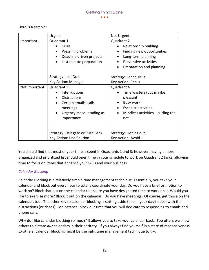Here is a sample:

|               | Urgent                                | Not Urgent                                       |  |
|---------------|---------------------------------------|--------------------------------------------------|--|
| Important     | Quadrant 1                            | Quadrant 2                                       |  |
|               | Crisis                                | Relationship building<br>٠                       |  |
|               | Pressing problems                     | Finding new opportunities<br>$\bullet$           |  |
|               | Deadline driven projects<br>$\bullet$ | Long-term planning<br>$\bullet$                  |  |
|               | Last minute preparation               | Preventive activities                            |  |
|               |                                       | Preparation and planning                         |  |
|               | Strategy: Just Do It                  | Strategy: Schedule It                            |  |
|               | Key Action: Manage                    | Key Action: Focus                                |  |
| Not Important | Quadrant 3                            | Quadrant 4                                       |  |
|               | Interruptions                         | Time wasters (but maybe<br>$\bullet$             |  |
|               | <b>Distractions</b>                   | pleasant)                                        |  |
|               | Certain emails, calls,                | Busy work<br>٠                                   |  |
|               | meetings                              | <b>Escapist activities</b><br>$\bullet$          |  |
|               | Urgency masquerading as               | Mindless activities $-$ surfing the<br>$\bullet$ |  |
|               | importance                            | net                                              |  |
|               |                                       |                                                  |  |
|               | Strategy: Delegate or Push Back       | Strategy: Don't Do It                            |  |
|               | Key Action: Use Caution               | Key Action: Avoid                                |  |

You should find that most of your time is spent in Quadrants 1 and 3; however, having a more organized and prioritized list should open time in your schedule to work on Quadrant 2 tasks, allowing time to focus on items that enhance your skills and your business.

## *Calendar Blocking*

Calendar Blocking is a relatively simple time management technique. Essentially, you take your calendar and block out every hour to totally coordinate your day. Do you have a brief or motion to work on? Block that out on the calendar to ensure you have designated time to work on it. Would you like to exercise more? Block it out on the calendar. Do you have meetings? Of course, get those on the calendar, too. The other key to calendar blocking is setting aside time in your day to deal with the distractions (or chaos). For instance, block out time that you will dedicate to responding to emails and phone calls.

Why do I like calendar blocking so much? It allows you to take your calendar back. Too often, we allow others to dictate *our* calendars in their entirety. If you always find yourself in a state of responsiveness to others, calendar blocking might be the right time management technique to try.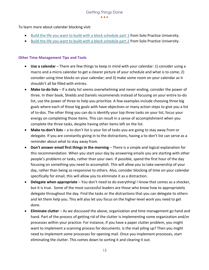To learn more about calendar blocking visit:

- [Build the life you want to build with a block schedule part 1](https://solopracticeuniversity.com/2018/08/01/build-the-life-you-want-to-build-with-a-block-schedule-part-1/) from Solo Practice University.
- [Build the life you want to build with a block schedule part 2](https://solopracticeuniversity.com/2018/08/07/build-the-life-you-want-to-build-with-a-block-schedule-part-2/) from Solo Practice University.

## **Other Time Management Tips and Tools**

- **Use a calendar** There are few things to keep in mind with your calendar: 1) consider using a macro and a micro calendar to get a clearer picture of your schedule and what is to come; 2) consider using time blocks on your calendar; and 3) make some room on your calendar as it shouldn't all be filled with entries.
- **Make to-do lists** If a daily list seems overwhelming and never-ending, consider the power of three. In their book, Shields and Daniels recommends instead of focusing on your entire to-do list, use the power of three to help you prioritize. A few examples include choosing three big goals where each of those big goals with have objectives or many action steps to give you a list of to-dos. The other thing you can do is identify your top three tasks on your list, focus your energy on completing those items. This can result in a sense of accomplishment when you complete the three tasks, despite having other items left on the list.
- **Make to-don't lists** a to-don't list is your list of tasks you are going to stay away from or delegate. If you are constantly giving in to the distractions, having a to-don't list can serve as a reminder about what to stay away from.
- **Don't answer email first things in the morning** There is a simple and logical explanation for this recommendation. When you start your day by answering emails you are starting with other people's problems or tasks, rather than your own. If possible, spend the first hour of the day focusing on something you need to accomplish. This will allow you to take ownership of your day, rather than being so responsive to others. Also, consider blocking of time on your calendar specifically for email, this will allow you to eliminate it as a distraction.
- **Delegate when appropriate** You don't need to do everything! I know that comes as a shocker, but it is true. Some of the most successful leaders are those who know how to appropriately delegate throughout the day. Find the tasks or the distractions that you can delegate to others and let them help you. This will also let you focus on the higher-level work you need to get done.
- **Eliminate clutter** As we discussed the above, organization and time management go hand and hand. Part of the process of getting rid of the clutter is implementing some organization and/or processes within your practice. For instance, if you have a paper clutter problem, you might want to implement a scanning process for documents. Is the mail piling up? Then you might need to implement some processes for opening mail. Once you implement processes, start eliminating the clutter. This comes down to sorting it and clearing it out.